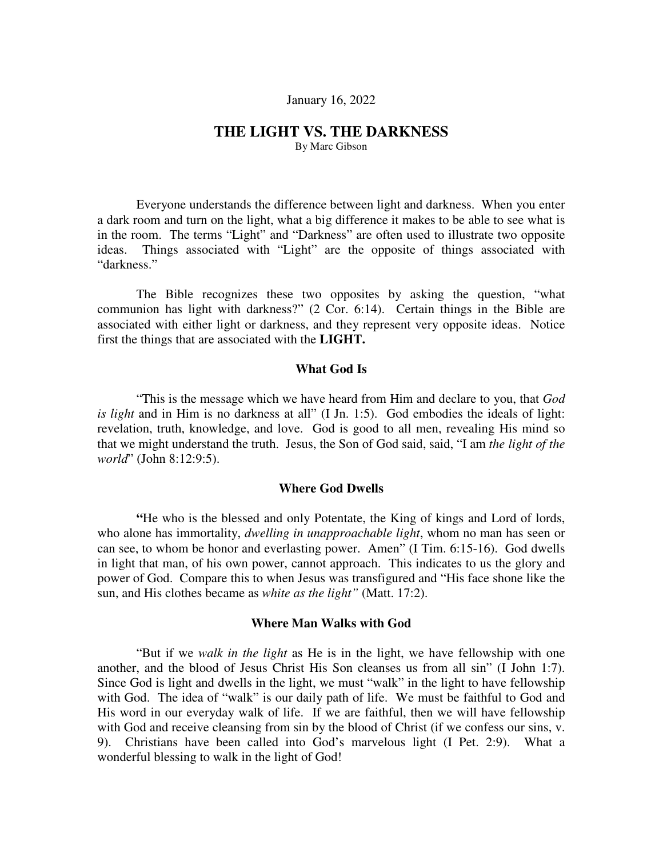## January 16, 2022

## **THE LIGHT VS. THE DARKNESS**

By Marc Gibson

Everyone understands the difference between light and darkness. When you enter a dark room and turn on the light, what a big difference it makes to be able to see what is in the room. The terms "Light" and "Darkness" are often used to illustrate two opposite ideas. Things associated with "Light" are the opposite of things associated with "darkness."

The Bible recognizes these two opposites by asking the question, "what communion has light with darkness?" (2 Cor. 6:14). Certain things in the Bible are associated with either light or darkness, and they represent very opposite ideas. Notice first the things that are associated with the **LIGHT.**

## **What God Is**

"This is the message which we have heard from Him and declare to you, that *God is light* and in Him is no darkness at all" (I Jn. 1:5). God embodies the ideals of light: revelation, truth, knowledge, and love. God is good to all men, revealing His mind so that we might understand the truth. Jesus, the Son of God said, said, "I am *the light of the world*" (John 8:12:9:5).

### **Where God Dwells**

**"**He who is the blessed and only Potentate, the King of kings and Lord of lords, who alone has immortality, *dwelling in unapproachable light*, whom no man has seen or can see, to whom be honor and everlasting power. Amen" (I Tim. 6:15-16). God dwells in light that man, of his own power, cannot approach. This indicates to us the glory and power of God. Compare this to when Jesus was transfigured and "His face shone like the sun, and His clothes became as *white as the light"* (Matt. 17:2).

#### **Where Man Walks with God**

"But if we *walk in the light* as He is in the light, we have fellowship with one another, and the blood of Jesus Christ His Son cleanses us from all sin" (I John 1:7). Since God is light and dwells in the light, we must "walk" in the light to have fellowship with God. The idea of "walk" is our daily path of life. We must be faithful to God and His word in our everyday walk of life. If we are faithful, then we will have fellowship with God and receive cleansing from sin by the blood of Christ (if we confess our sins, v. 9). Christians have been called into God's marvelous light (I Pet. 2:9). What a wonderful blessing to walk in the light of God!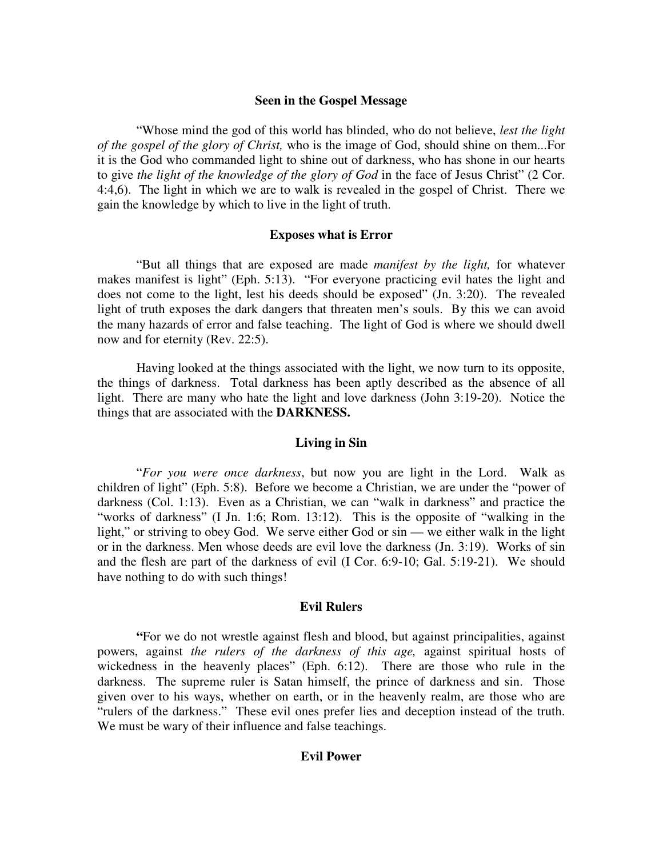## **Seen in the Gospel Message**

"Whose mind the god of this world has blinded, who do not believe, *lest the light of the gospel of the glory of Christ,* who is the image of God, should shine on them...For it is the God who commanded light to shine out of darkness, who has shone in our hearts to give *the light of the knowledge of the glory of God* in the face of Jesus Christ" (2 Cor. 4:4,6). The light in which we are to walk is revealed in the gospel of Christ. There we gain the knowledge by which to live in the light of truth.

## **Exposes what is Error**

"But all things that are exposed are made *manifest by the light,* for whatever makes manifest is light" (Eph. 5:13). "For everyone practicing evil hates the light and does not come to the light, lest his deeds should be exposed" (Jn. 3:20). The revealed light of truth exposes the dark dangers that threaten men's souls. By this we can avoid the many hazards of error and false teaching. The light of God is where we should dwell now and for eternity (Rev. 22:5).

Having looked at the things associated with the light, we now turn to its opposite, the things of darkness. Total darkness has been aptly described as the absence of all light. There are many who hate the light and love darkness (John 3:19-20). Notice the things that are associated with the **DARKNESS.**

#### **Living in Sin**

"*For you were once darkness*, but now you are light in the Lord. Walk as children of light" (Eph. 5:8). Before we become a Christian, we are under the "power of darkness (Col. 1:13). Even as a Christian, we can "walk in darkness" and practice the "works of darkness" (I Jn. 1:6; Rom. 13:12). This is the opposite of "walking in the light," or striving to obey God. We serve either God or sin — we either walk in the light or in the darkness. Men whose deeds are evil love the darkness (Jn. 3:19). Works of sin and the flesh are part of the darkness of evil (I Cor. 6:9-10; Gal. 5:19-21). We should have nothing to do with such things!

## **Evil Rulers**

**"**For we do not wrestle against flesh and blood, but against principalities, against powers, against *the rulers of the darkness of this age,* against spiritual hosts of wickedness in the heavenly places" (Eph. 6:12). There are those who rule in the darkness. The supreme ruler is Satan himself, the prince of darkness and sin. Those given over to his ways, whether on earth, or in the heavenly realm, are those who are "rulers of the darkness." These evil ones prefer lies and deception instead of the truth. We must be wary of their influence and false teachings.

## **Evil Power**